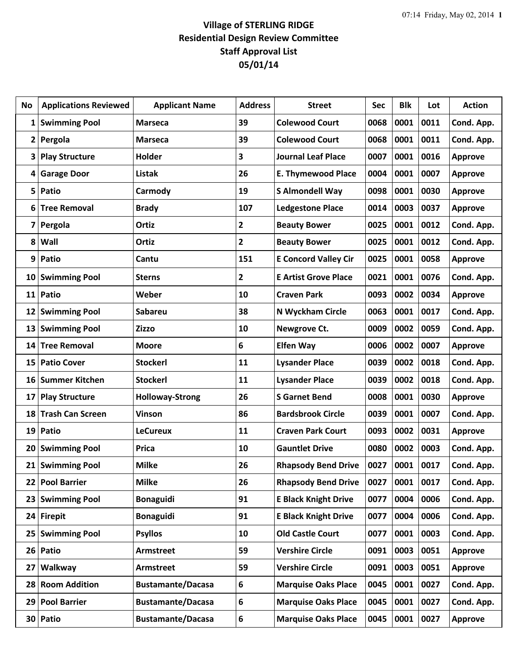## **Village of STERLING RIDGE Residential Design Review Committee Staff Approval List 05/01/14**

| No              | <b>Applications Reviewed</b> | <b>Applicant Name</b>    | <b>Address</b>          | <b>Street</b>               | Sec  | <b>Blk</b> | Lot  | <b>Action</b>  |
|-----------------|------------------------------|--------------------------|-------------------------|-----------------------------|------|------------|------|----------------|
| 1               | <b>Swimming Pool</b>         | <b>Marseca</b>           | 39                      | <b>Colewood Court</b>       | 0068 | 0001       | 0011 | Cond. App.     |
| $\mathbf{2}$    | Pergola                      | <b>Marseca</b>           | 39                      | <b>Colewood Court</b>       | 0068 | 0001       | 0011 | Cond. App.     |
| 3               | <b>Play Structure</b>        | Holder                   | 3                       | <b>Journal Leaf Place</b>   | 0007 | 0001       | 0016 | <b>Approve</b> |
| 4               | <b>Garage Door</b>           | <b>Listak</b>            | 26                      | <b>E. Thymewood Place</b>   | 0004 | 0001       | 0007 | <b>Approve</b> |
| 5               | Patio                        | Carmody                  | 19                      | <b>S Almondell Way</b>      | 0098 | 0001       | 0030 | <b>Approve</b> |
| 6               | <b>Tree Removal</b>          | <b>Brady</b>             | 107                     | <b>Ledgestone Place</b>     | 0014 | 0003       | 0037 | <b>Approve</b> |
| 7               | Pergola                      | Ortiz                    | 2                       | <b>Beauty Bower</b>         | 0025 | 0001       | 0012 | Cond. App.     |
| 8               | Wall                         | Ortiz                    | $\overline{\mathbf{2}}$ | <b>Beauty Bower</b>         | 0025 | 0001       | 0012 | Cond. App.     |
| 9               | Patio                        | Cantu                    | 151                     | <b>E Concord Valley Cir</b> | 0025 | 0001       | 0058 | <b>Approve</b> |
| 10              | <b>Swimming Pool</b>         | <b>Sterns</b>            | $\mathbf{2}$            | <b>E Artist Grove Place</b> | 0021 | 0001       | 0076 | Cond. App.     |
| 11              | Patio                        | Weber                    | 10                      | <b>Craven Park</b>          | 0093 | 0002       | 0034 | <b>Approve</b> |
| 12              | <b>Swimming Pool</b>         | <b>Sabareu</b>           | 38                      | N Wyckham Circle            | 0063 | 0001       | 0017 | Cond. App.     |
| 13              | <b>Swimming Pool</b>         | Zizzo                    | 10                      | Newgrove Ct.                | 0009 | 0002       | 0059 | Cond. App.     |
| 14              | <b>Tree Removal</b>          | <b>Moore</b>             | 6                       | <b>Elfen Way</b>            | 0006 | 0002       | 0007 | <b>Approve</b> |
| 15              | <b>Patio Cover</b>           | <b>Stockerl</b>          | 11                      | <b>Lysander Place</b>       | 0039 | 0002       | 0018 | Cond. App.     |
| 16              | <b>Summer Kitchen</b>        | <b>Stockerl</b>          | 11                      | <b>Lysander Place</b>       | 0039 | 0002       | 0018 | Cond. App.     |
| 17              | <b>Play Structure</b>        | <b>Holloway-Strong</b>   | 26                      | <b>S</b> Garnet Bend        | 0008 | 0001       | 0030 | <b>Approve</b> |
| 18              | <b>Trash Can Screen</b>      | <b>Vinson</b>            | 86                      | <b>Bardsbrook Circle</b>    | 0039 | 0001       | 0007 | Cond. App.     |
| 19              | Patio                        | <b>LeCureux</b>          | 11                      | <b>Craven Park Court</b>    | 0093 | 0002       | 0031 | <b>Approve</b> |
| 20              | <b>Swimming Pool</b>         | <b>Prica</b>             | 10                      | <b>Gauntlet Drive</b>       | 0080 | 0002       | 0003 | Cond. App.     |
|                 | 21 Swimming Pool             | <b>Milke</b>             | 26                      | <b>Rhapsody Bend Drive</b>  | 0027 | 0001       | 0017 | Cond. App.     |
| 22              | <b>Pool Barrier</b>          | <b>Milke</b>             | 26                      | <b>Rhapsody Bend Drive</b>  | 0027 | 0001       | 0017 | Cond. App.     |
| 23              | <b>Swimming Pool</b>         | <b>Bonaguidi</b>         | 91                      | <b>E Black Knight Drive</b> | 0077 | 0004       | 0006 | Cond. App.     |
| 24              | <b>Firepit</b>               | Bonaguidi                | 91                      | <b>E Black Knight Drive</b> | 0077 | 0004       | 0006 | Cond. App.     |
| 25              | <b>Swimming Pool</b>         | <b>Psyllos</b>           | 10                      | <b>Old Castle Court</b>     | 0077 | 0001       | 0003 | Cond. App.     |
| 26              | Patio                        | <b>Armstreet</b>         | 59                      | <b>Vershire Circle</b>      | 0091 | 0003       | 0051 | <b>Approve</b> |
| 27              | Walkway                      | <b>Armstreet</b>         | 59                      | <b>Vershire Circle</b>      | 0091 | 0003       | 0051 | Approve        |
| 28              | <b>Room Addition</b>         | <b>Bustamante/Dacasa</b> | 6                       | <b>Marquise Oaks Place</b>  | 0045 | 0001       | 0027 | Cond. App.     |
| 29              | <b>Pool Barrier</b>          | <b>Bustamante/Dacasa</b> | 6                       | <b>Marquise Oaks Place</b>  | 0045 | 0001       | 0027 | Cond. App.     |
| 30 <sup>°</sup> | Patio                        | <b>Bustamante/Dacasa</b> | 6                       | <b>Marquise Oaks Place</b>  | 0045 | 0001       | 0027 | <b>Approve</b> |